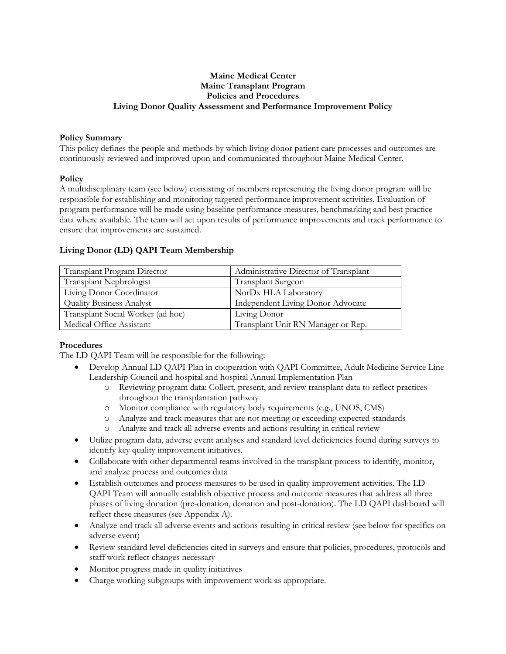# **Maine Medical Center Maine Transplant Program Policies and Procedures Living Donor Quality Assessment and Performance Improvement Policy**

#### **Policy Summary**

This policy defines the people and methods by which living donor patient care processes and outcomes are continuously reviewed and improved upon and communicated throughout Maine Medical Center.

#### **Policy**

A multidisciplinary team (see below) consisting of members representing the living donor program will be responsible for establishing and monitoring targeted performance improvement activities. Evaluation of program performance will be made using baseline performance measures, benchmarking and best practice data where available. The team will act upon results of performance improvements and track performance to ensure that improvements are sustained.

| Transplant Program Director       | Administrative Director of Transplant    |  |  |
|-----------------------------------|------------------------------------------|--|--|
| Transplant Nephrologist           | <b>Transplant Surgeon</b>                |  |  |
| Living Donor Coordinator          | NorDx HLA Laboratory                     |  |  |
| <b>Quality Business Analyst</b>   | <b>Independent Living Donor Advocate</b> |  |  |
| Transplant Social Worker (ad hoc) | Living Donor                             |  |  |
| Medical Office Assistant          | Transplant Unit RN Manager or Rep.       |  |  |

#### **Living Donor (LD) QAPI Team Membership**

## **Procedures**

The LD QAPI Team will be responsible for the following:

- Develop Annual LD QAPI Plan in cooperation with QAPI Committee, Adult Medicine Service Line Leadership Council and hospital and hospital Annual Implementation Plan
	- o Reviewing program data: Collect, present, and review transplant data to reflect practices throughout the transplantation pathway
	- o Monitor compliance with regulatory body requirements (e.g., UNOS, CMS)
	- o Analyze and track measures that are not meeting or exceeding expected standards
	- o Analyze and track all adverse events and actions resulting in critical review
- Utilize program data, adverse event analyses and standard level deficiencies found during surveys to identify key quality improvement initiatives.
- Collaborate with other departmental teams involved in the transplant process to identify, monitor, and analyze process and outcomes data
- Establish outcomes and process measures to be used in quality improvement activities. The LD QAPI Team will annually establish objective process and outcome measures that address all three phases of living donation (pre-donation, donation and post-donation). The LD QAPI dashboard will reflect these measures (see Appendix A).
- Analyze and track all adverse events and actions resulting in critical review (see below for specifics on adverse event)
- Review standard level deficiencies cited in surveys and ensure that policies, procedures, protocols and staff work reflect changes necessary
- Monitor progress made in quality initiatives
- Charge working subgroups with improvement work as appropriate.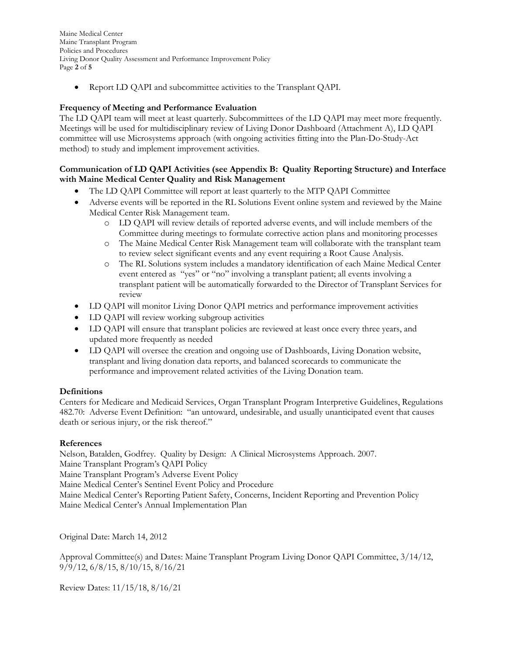Maine Medical Center Maine Transplant Program Policies and Procedures Living Donor Quality Assessment and Performance Improvement Policy Page **2** of **5**

Report LD QAPI and subcommittee activities to the Transplant QAPI.

# **Frequency of Meeting and Performance Evaluation**

The LD QAPI team will meet at least quarterly. Subcommittees of the LD QAPI may meet more frequently. Meetings will be used for multidisciplinary review of Living Donor Dashboard (Attachment A), LD QAPI committee will use Microsystems approach (with ongoing activities fitting into the Plan-Do-Study-Act method) to study and implement improvement activities.

# **Communication of LD QAPI Activities (see Appendix B: Quality Reporting Structure) and Interface with Maine Medical Center Quality and Risk Management**

- The LD QAPI Committee will report at least quarterly to the MTP QAPI Committee
- Adverse events will be reported in the RL Solutions Event online system and reviewed by the Maine Medical Center Risk Management team.
	- o LD QAPI will review details of reported adverse events, and will include members of the Committee during meetings to formulate corrective action plans and monitoring processes
	- o The Maine Medical Center Risk Management team will collaborate with the transplant team to review select significant events and any event requiring a Root Cause Analysis.
	- o The RL Solutions system includes a mandatory identification of each Maine Medical Center event entered as "yes" or "no" involving a transplant patient; all events involving a transplant patient will be automatically forwarded to the Director of Transplant Services for review
- LD QAPI will monitor Living Donor QAPI metrics and performance improvement activities
- LD QAPI will review working subgroup activities
- LD QAPI will ensure that transplant policies are reviewed at least once every three years, and updated more frequently as needed
- LD QAPI will oversee the creation and ongoing use of Dashboards, Living Donation website, transplant and living donation data reports, and balanced scorecards to communicate the performance and improvement related activities of the Living Donation team.

## **Definitions**

Centers for Medicare and Medicaid Services, Organ Transplant Program Interpretive Guidelines, Regulations 482.70: Adverse Event Definition: "an untoward, undesirable, and usually unanticipated event that causes death or serious injury, or the risk thereof."

## **References**

Nelson, Batalden, Godfrey. Quality by Design: A Clinical Microsystems Approach. 2007. Maine Transplant Program's QAPI Policy Maine Transplant Program's Adverse Event Policy Maine Medical Center's Sentinel Event Policy and Procedure Maine Medical Center's Reporting Patient Safety, Concerns, Incident Reporting and Prevention Policy Maine Medical Center's Annual Implementation Plan

Original Date: March 14, 2012

Approval Committee(s) and Dates: Maine Transplant Program Living Donor QAPI Committee, 3/14/12, 9/9/12, 6/8/15, 8/10/15, 8/16/21

Review Dates: 11/15/18, 8/16/21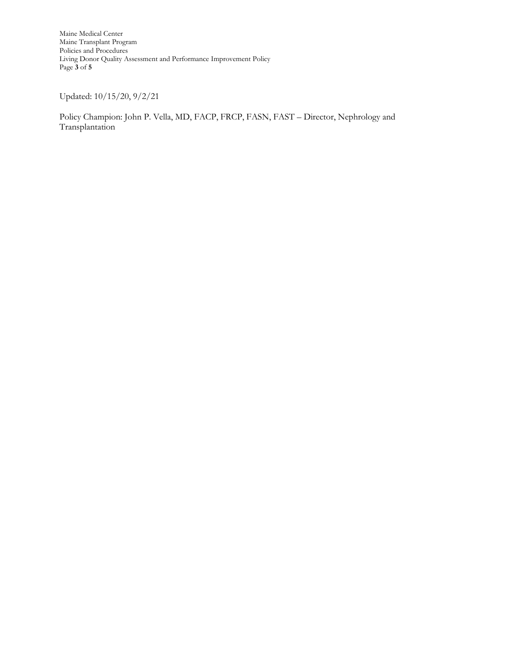Maine Medical Center Maine Transplant Program Policies and Procedures Living Donor Quality Assessment and Performance Improvement Policy Page **3** of **5**

Updated: 10/15/20, 9/2/21

Policy Champion: John P. Vella, MD, FACP, FRCP, FASN, FAST – Director, Nephrology and Transplantation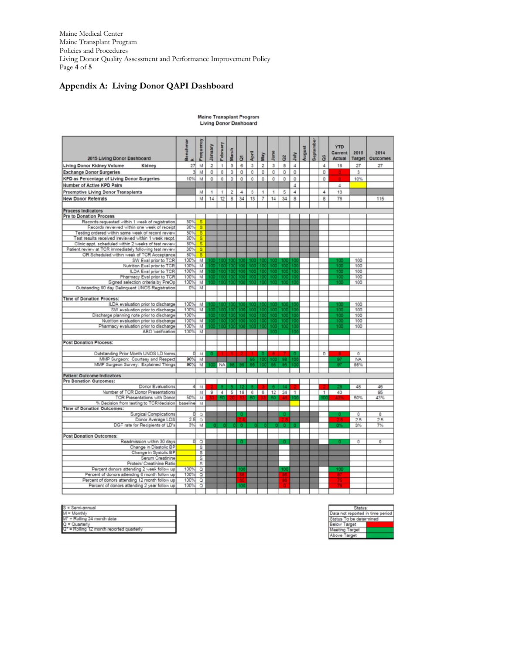Maine Medical Center Maine Transplant Program Policies and Procedures Living Donor Quality Assessment and Performance Improvement Policy Page **4** of **5**

# **Appendix A: Living Donor QAPI Dashboard**

| 2015 Living Donor Dashboard                                                           | Benchma    | Frequenc                | January        | February  | March                   | $\overline{a}$ | April | May            | June        | $\tilde{a}$ | July       | August | Septem | ទី             | <b>YTD</b><br>Current<br><b>Actual</b> | 2015<br>Target | 2014<br><b>Outcomes</b>   |
|---------------------------------------------------------------------------------------|------------|-------------------------|----------------|-----------|-------------------------|----------------|-------|----------------|-------------|-------------|------------|--------|--------|----------------|----------------------------------------|----------------|---------------------------|
| <b>Living Donor Kidney Volume</b><br>Kidney                                           | 27         | M                       | $\overline{2}$ | 1         | 3                       | 6              | 3     | $\overline{2}$ | 3           | 8           | $\sqrt{4}$ |        |        | 4              | 18                                     | 27             | 27                        |
| <b>Exchange Donor Surgeries</b>                                                       | 3          | M                       | ٥              | 0         | 0                       | 0              | 0     | o              | 0           | 0           | $\circ$    |        |        | o              |                                        | 3              |                           |
| <b>KPD as Percentage of Living Donor Surgeries</b>                                    | 10%        | M                       | $\circ$        | 0         | $\circ$                 | 0              | 0     | 0              | O           | 0           | 0          |        |        | o              |                                        | 10%            |                           |
| Number of Active KPD Pairs                                                            |            |                         |                |           |                         |                |       |                |             |             | $\ddot{a}$ |        |        |                | 4                                      |                |                           |
|                                                                                       |            |                         | 1              | 1         |                         | 4              | 3     |                | 1           |             | $\ddot{a}$ |        |        | $\overline{4}$ | 13                                     |                |                           |
| <b>Preemptive Living Donor Transplants</b>                                            |            | M                       |                |           | $\overline{\mathbf{c}}$ |                |       | 1              |             | 5           |            |        |        |                |                                        |                |                           |
| <b>New Donor Referrals</b>                                                            |            | M                       | 14             | 12        | 8                       | 34             | 13    | $\overline{7}$ | 14          | 34          | 8          |        |        | 8              | 76                                     |                | 115                       |
| <b>Process Indicators</b>                                                             |            |                         |                |           |                         |                |       |                |             |             |            |        |        |                |                                        |                |                           |
| <b>Pre to Donation Process</b>                                                        |            |                         |                |           |                         |                |       |                |             |             |            |        |        |                |                                        |                |                           |
| Records requested within 1 week of registration                                       | 80%        | $\overline{\mathbf{s}}$ |                |           |                         |                |       |                |             |             |            |        |        |                |                                        |                |                           |
| Records reviewed within one week of receipt                                           | 80%        | $\overline{\mathbf{s}}$ |                |           |                         |                |       |                |             |             |            |        |        |                |                                        |                |                           |
| Testing ordered within same week of record review                                     | 80%        | $\overline{s}$          |                |           |                         |                |       |                |             |             |            |        |        |                |                                        |                |                           |
| Test results received /reviewed within 1 week recpt.                                  | 80%        | $\overline{\mathbf{s}}$ |                |           |                         |                |       |                |             |             |            |        |        |                |                                        |                |                           |
| Clinic appt. scheduled within 2 weeks of test review                                  | 80%        | $\overline{s}$          |                |           |                         |                |       |                |             |             |            |        |        |                |                                        |                |                           |
| Patient review at TCR immediately following test review                               | 80%        | $\overline{\mathbf{s}}$ |                |           |                         |                |       |                |             |             |            |        |        |                |                                        |                |                           |
| OR Scheduled within week of TCR Acceptance                                            | 80%        | $\overline{\mathbf{s}}$ |                |           |                         |                |       |                |             |             |            |        |        |                |                                        |                |                           |
| SW Eval prior to TCR                                                                  | 100%       | M                       |                |           |                         |                |       |                |             |             |            |        |        |                | πm                                     | 100            |                           |
| Nutrition Eval prior to TCR                                                           | 100%       | M                       |                |           |                         |                |       |                |             |             |            |        |        |                | īΘ                                     | 100            |                           |
| ILDA Eval prior to TCR                                                                | 100%       | $\overline{M}$          |                |           |                         |                |       |                |             |             |            |        |        |                | īΦ                                     | 100            |                           |
| Pharmacy Eval prior to TCR                                                            | 100%       | M                       |                |           |                         |                |       |                | т           |             |            |        |        |                | Ιũ                                     | 100            |                           |
| Signed selection criteria by PreOp<br>Outstanding 90 day Delinquent UNOS Registration | 100%<br>0% | M<br>M                  |                |           |                         |                |       |                |             |             |            |        |        |                | TCT                                    | 100            |                           |
|                                                                                       |            |                         |                |           |                         |                |       |                |             |             |            |        |        |                |                                        |                |                           |
| <b>Time of Donation Process:</b>                                                      |            |                         |                |           |                         |                |       |                |             |             |            |        |        |                |                                        |                |                           |
| ILDA evaluation prior to discharge                                                    | 100%       | M                       |                |           |                         |                |       |                |             |             |            |        |        |                |                                        | 100            |                           |
| SW evaluation prior to discharge                                                      | 100%       | M                       |                |           |                         |                |       |                |             |             |            |        |        |                | TC)                                    | 100            |                           |
| Discharge planning note prior to discharge                                            | 100%       |                         |                |           |                         |                |       |                |             |             |            |        |        |                | ΠŎ                                     | 100            |                           |
| Nutrition evaluation prior to discharge                                               | 100%       | M                       |                |           |                         |                |       |                |             |             |            |        |        |                | īΰ                                     | 100            |                           |
| Pharmacy evaluation prior to discharge                                                | 100%       | M                       |                |           |                         |                |       |                |             | 70          |            |        |        |                | īΦ                                     | 100            |                           |
| <b>ABO</b> Verification                                                               | 100%       | M                       |                |           |                         |                |       |                |             |             |            |        |        |                |                                        |                |                           |
| <b>Post Donation Process:</b>                                                         |            |                         |                |           |                         |                |       |                |             |             |            |        |        |                |                                        |                |                           |
|                                                                                       |            |                         |                |           |                         |                |       |                |             |             |            |        |        |                |                                        |                |                           |
| Outstanding Prior Month UNOS LD forms                                                 | O          | M                       |                |           |                         |                |       |                |             |             |            |        |        | 0              |                                        | 0              |                           |
| MMP Surgeon: Courtesy and Respect                                                     | 90%        | M                       |                |           |                         |                |       |                |             |             |            |        |        |                |                                        | <b>NA</b>      |                           |
| MMP Surgeon Survey: Explained Things                                                  |            | 90% M                   |                | <b>NA</b> |                         |                |       |                |             |             |            |        |        |                |                                        | 98%            |                           |
|                                                                                       |            |                         |                |           |                         |                |       |                |             |             |            |        |        |                |                                        |                |                           |
| <b>Patient Outcome Indicators</b><br><b>Pre Donation Outcomes:</b>                    |            |                         |                |           |                         |                |       |                |             |             |            |        |        |                |                                        |                |                           |
| Donor Evaluations                                                                     | 41         | M                       |                |           |                         |                |       |                |             |             |            |        |        |                |                                        | 48             | 46                        |
| Number of TCR Donor Presentations                                                     |            | M                       | 9              |           | $4 \ 5 \ 18$            |                |       |                | 6 6 12 24 1 |             |            |        |        | $\overline{1}$ | 43                                     |                | 95                        |
| <b>TCR Presentations with Donor</b>                                                   | 50%        | M                       |                |           |                         |                |       |                |             |             |            |        |        |                |                                        | 50%            | 43%                       |
| % Decision from testing to TCR/decision                                               | baseline   | M                       |                |           |                         |                |       |                |             |             |            |        |        |                |                                        |                |                           |
| <b>Time of Donation Outcomes:</b>                                                     |            |                         |                |           |                         |                |       |                |             |             |            |        |        |                |                                        |                |                           |
| <b>Surgical Complications</b>                                                         | Ö          | $\mathcal{Q}$           |                |           |                         |                |       |                |             |             |            |        |        |                | п                                      | $\circ$        | o                         |
| Donor Average LOS                                                                     | 2.5        | $\alpha$                |                |           |                         |                |       |                |             |             |            |        |        |                |                                        | 2.5            | 2.5                       |
| DGF rate for Recipients of LD's                                                       | 3%         | M                       |                |           |                         |                |       |                |             |             |            |        |        |                |                                        | 3%             | 7%                        |
| <b>Post Donation Outcomes:</b>                                                        |            |                         |                |           |                         |                |       |                |             |             |            |        |        |                |                                        |                |                           |
| Readmission within 30 days                                                            | σ          | $\overline{\circ}$      |                |           |                         |                |       |                |             |             |            |        |        |                |                                        | $\circ$        | $\overline{\mathfrak{o}}$ |
| Change in Diastolic BP                                                                |            | $\mathbb{S}$            |                |           |                         |                |       |                |             |             |            |        |        |                |                                        |                |                           |
| Change in Systolic BP                                                                 |            | s                       |                |           |                         |                |       |                |             |             |            |        |        |                |                                        |                |                           |
| Serum Creatinine                                                                      |            | S                       |                |           |                         |                |       |                |             |             |            |        |        |                |                                        |                |                           |
| Protein/ Creatinine Ratio                                                             |            | $\overline{s}$          |                |           |                         |                |       |                |             |             |            |        |        |                |                                        |                |                           |
| Percent donors attending 2 week follow up                                             | 100%       | $\overline{\circ}$      |                |           |                         |                |       |                |             |             |            |        |        |                |                                        |                |                           |
| Percent of donors attending 6 month follow up                                         | 100%       | $\circ$                 |                |           |                         |                |       |                |             |             |            |        |        |                |                                        |                |                           |
| Percent of donors attending 12 month follow up                                        | 100%       | $\circ$                 |                |           |                         |                |       |                |             |             |            |        |        |                |                                        |                |                           |
| Percent of donors attending 2 year follow up                                          | 100%       | Q                       |                |           |                         |                |       |                |             |             |            |        |        |                |                                        |                |                           |
|                                                                                       |            |                         |                |           |                         |                |       |                |             |             |            |        |        |                |                                        |                |                           |

|  | <b>Maine Transplant Program</b> |  |
|--|---------------------------------|--|
|  | <b>Living Donor Dashboard</b>   |  |

| $S =$ Semi-annual                        |  |
|------------------------------------------|--|
| $M =$ Monthly                            |  |
| M <sup>*</sup> = Rolling 24 month data   |  |
| $Q =$ Quarterly                          |  |
| Q" = Rolling 12 month reported quarterly |  |

| Status:                          |  |
|----------------------------------|--|
| Data not reported in time period |  |
| Status To be determined          |  |
| Below Target                     |  |
| Meeting Target                   |  |
| nye 1                            |  |